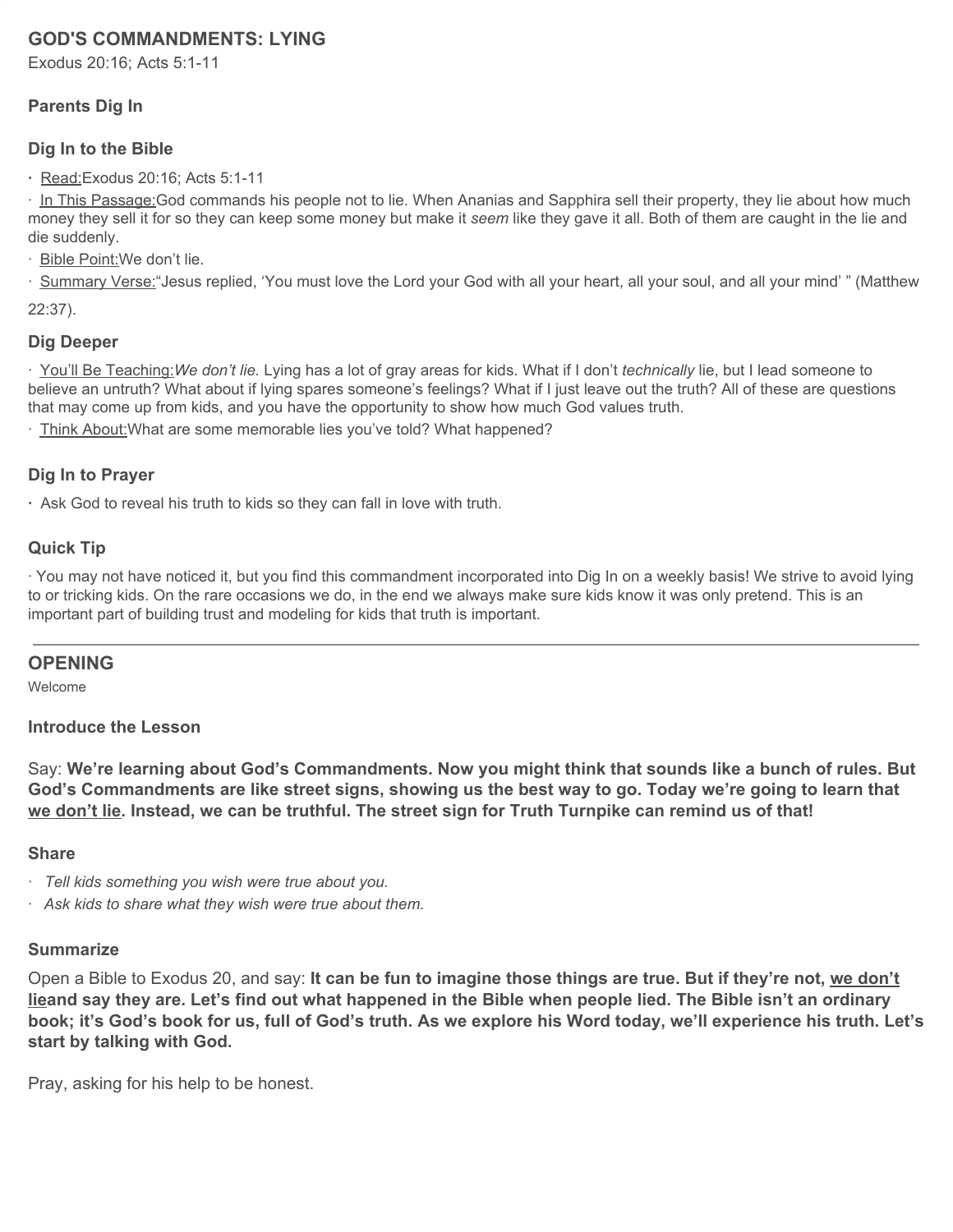# **GOD'S COMMANDMENTS: LYING**

Exodus 20:16; Acts 5:1-11

# **Parents Dig In**

### **Dig In to the Bible**

**·** Read:Exodus 20:16; Acts 5:1-11

· In This Passage:God commands his people not to lie. When Ananias and Sapphira sell their property, they lie about how much money they sell it for so they can keep some money but make it *seem* like they gave it all. Both of them are caught in the lie and die suddenly.

· Bible Point:We don't lie.

· Summary Verse:"Jesus replied, 'You must love the Lord your God with all your heart, all your soul, and all your mind' " (Matthew

22:37).

#### **Dig Deeper**

· You'll Be Teaching:*We don't lie.* Lying has a lot of gray areas for kids. What if I don't *technically* lie, but I lead someone to believe an untruth? What about if lying spares someone's feelings? What if I just leave out the truth? All of these are questions that may come up from kids, and you have the opportunity to show how much God values truth.

· Think About:What are some memorable lies you've told? What happened?

#### **Dig In to Prayer**

**·** Ask God to reveal his truth to kids so they can fall in love with truth.

### **Quick Tip**

· You may not have noticed it, but you find this commandment incorporated into Dig In on a weekly basis! We strive to avoid lying to or tricking kids. On the rare occasions we do, in the end we always make sure kids know it was only pretend. This is an important part of building trust and modeling for kids that truth is important.

#### **OPENING**

Welcome

#### **Introduce the Lesson**

Say: **We're learning about God's Commandments. Now you might think that sounds like a bunch of rules. But** God's Commandments are like street signs, showing us the best way to go. Today we're going to learn that we don't lie. Instead, we can be truthful. The street sign for Truth Turnpike can remind us of that!

#### **Share**

- · *Tell kids something you wish were true about you.*
- *· Ask kids to share what they wish were true about them.*

# **Summarize**

Open a Bible to Exodus 20, and say: **It can be fun to imagine those things are true. But if they're not, we don't** lieand say they are. Let's find out what happened in the Bible when people lied. The Bible isn't an ordinary book; it's God's book for us, full of God's truth. As we explore his Word today, we'll experience his truth. Let's **start by talking with God.**

Pray, asking for his help to be honest.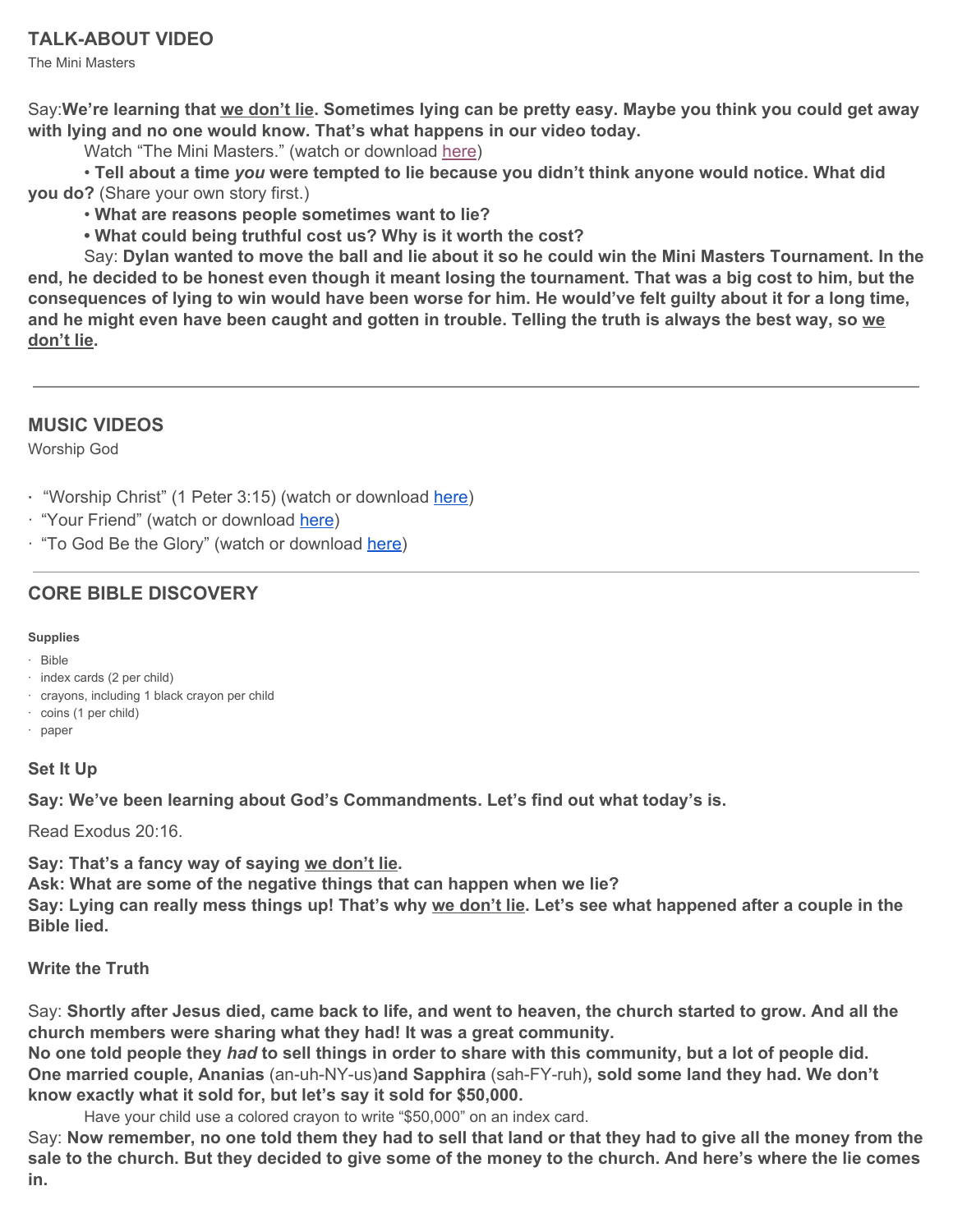The Mini Masters

Say:We're learning that we don't lie. Sometimes lying can be pretty easy. Maybe you think you could get away **with lying and no one would know. That's what happens in our video today.**

Watch "The Mini Masters." (watch or download [here](https://vimeo.com/showcase/6097677/video/345118178))

• **Tell about a time** *you* **were tempted to lie because you didn't think anyone would notice. What did you do?** (Share your own story first.)

- **What are reasons people sometimes want to lie?**
- **• What could being truthful cost us? Why is it worth the cost?**

Say: Dylan wanted to move the ball and lie about it so he could win the Mini Masters Tournament. In the end, he decided to be honest even though it meant losing the tournament. That was a big cost to him, but the consequences of lying to win would have been worse for him. He would've felt guilty about it for a long time, and he might even have been caught and gotten in trouble. Telling the truth is always the best way, so we **don't lie.**

# **MUSIC VIDEOS**

Worship God

**·** "Worship Christ" (1 Peter 3:15) (watch or download [here\)](https://vimeo.com/showcase/6097677/video/345114645)

- · "Your Friend" (watch or download [here](https://vimeo.com/showcase/6097677/video/345114734))
- · "To God Be the Glory" (watch or download [here](https://vimeo.com/showcase/6097677/video/345114456))

# **CORE BIBLE DISCOVERY**

### **Supplies**

- · Bible
- · index cards (2 per child)
- · crayons, including 1 black crayon per child
- · coins (1 per child)
- · paper

# **Set It Up**

**Say: We've been learning about God's Commandments. Let's find out what today's is.**

Read Exodus 20:16.

**Say: That's a fancy way of saying we don't lie.**

**Ask: What are some of the negative things that can happen when we lie?**

Say: Lying can really mess things up! That's why we don't lie. Let's see what happened after a couple in the **Bible lied.**

# **Write the Truth**

Say: Shortly after Jesus died, came back to life, and went to heaven, the church started to grow. And all the **church members were sharing what they had! It was a great community.**

No one told people they had to sell things in order to share with this community, but a lot of people did. **One married couple, Ananias** (an-uh-NY-us)**and Sapphira** (sah-FY-ruh)**, sold some land they had. We don't know exactly what it sold for, but let's say it sold for \$50,000.**

Have your child use a colored crayon to write "\$50,000" on an index card.

Say: Now remember, no one told them they had to sell that land or that they had to give all the money from the sale to the church. But they decided to give some of the money to the church. And here's where the lie comes **in.**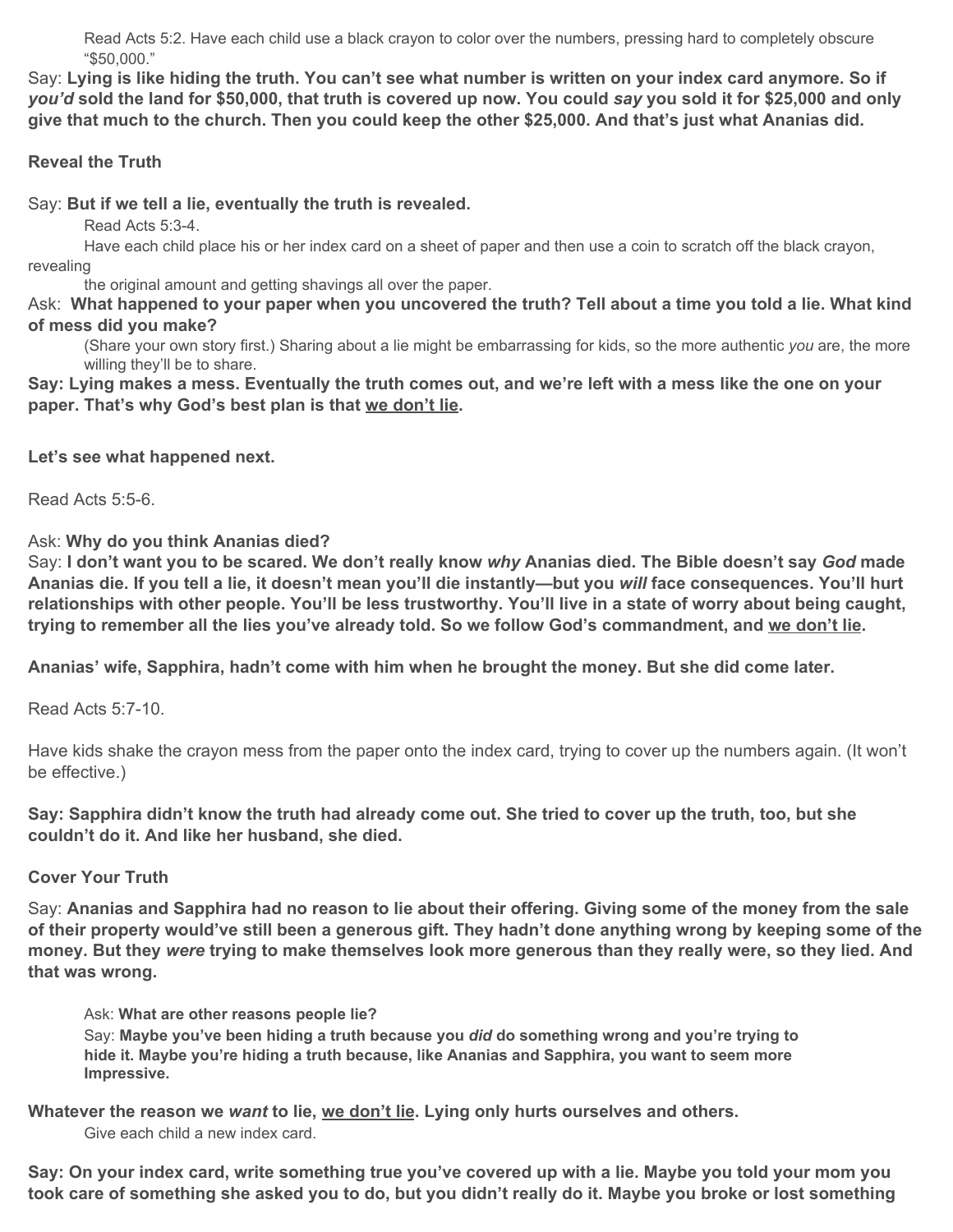Read Acts 5:2. Have each child use a black crayon to color over the numbers, pressing hard to completely obscure "\$50,000."

Say: Lying is like hiding the truth. You can't see what number is written on your index card anymore. So if you'd sold the land for \$50,000, that truth is covered up now. You could say you sold it for \$25,000 and only give that much to the church. Then you could keep the other \$25,000. And that's just what Ananias did.

# **Reveal the Truth**

Say: **But if we tell a lie, eventually the truth is revealed.**

Read Acts 5:3-4.

Have each child place his or her index card on a sheet of paper and then use a coin to scratch off the black crayon, revealing

the original amount and getting shavings all over the paper.

Ask: What happened to your paper when you uncovered the truth? Tell about a time you told a lie. What kind **of mess did you make?**

(Share your own story first.) Sharing about a lie might be embarrassing for kids, so the more authentic *you* are, the more willing they'll be to share.

Say: Lying makes a mess. Eventually the truth comes out, and we're left with a mess like the one on your **paper. That's why God's best plan is that we don't lie.**

**Let's see what happened next.**

Read Acts 5:5-6.

Ask: **Why do you think Ananias died?**

Say: I don't want you to be scared. We don't really know why Ananias died. The Bible doesn't say God made Ananias die. If you tell a lie, it doesn't mean you'll die instantly—but you will face consequences. You'll hurt relationships with other people. You'll be less trustworthy. You'll live in a state of worry about being caught, trying to remember all the lies you've already told. So we follow God's commandment, and we don't lie.

**Ananias' wife, Sapphira, hadn't come with him when he brought the money. But she did come later.**

Read Acts 5:7-10.

Have kids shake the crayon mess from the paper onto the index card, trying to cover up the numbers again. (It won't be effective.)

Say: Sapphira didn't know the truth had already come out. She tried to cover up the truth, too, but she **couldn't do it. And like her husband, she died.**

**Cover Your Truth**

Say: Ananias and Sapphira had no reason to lie about their offering. Giving some of the money from the sale of their property would've still been a generous gift. They hadn't done anything wrong by keeping some of the money. But they were trying to make themselves look more generous than they really were, so they lied. And **that was wrong.**

Ask: **What are other reasons people lie?**

Say: **Maybe you've been hiding a truth because you** *did* **do something wrong and you're trying to hide it. Maybe you're hiding a truth because, like Ananias and Sapphira, you want to seem more Impressive.**

**Whatever the reason we** *want* **to lie, we don't lie. Lying only hurts ourselves and others.** Give each child a new index card.

Say: On your index card, write something true you've covered up with a lie. Maybe you told your mom you took care of something she asked you to do, but you didn't really do it. Maybe you broke or lost something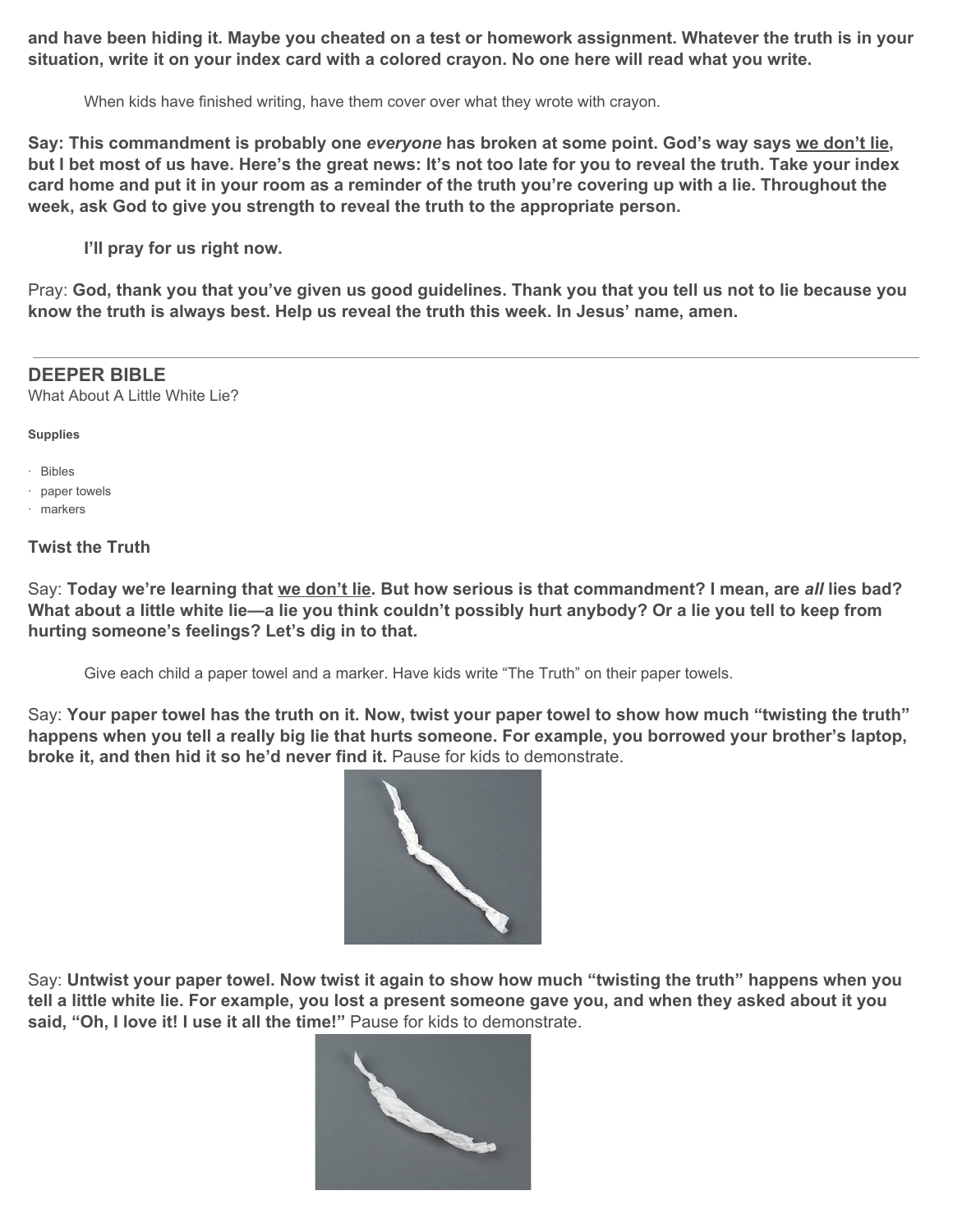and have been hiding it. Maybe you cheated on a test or homework assignment. Whatever the truth is in your situation, write it on your index card with a colored crayon. No one here will read what you write.

When kids have finished writing, have them cover over what they wrote with crayon.

Say: This commandment is probably one everyone has broken at some point. God's way says we don't lie, but I bet most of us have. Here's the great news: It's not too late for you to reveal the truth. Take your index card home and put it in your room as a reminder of the truth you're covering up with a lie. Throughout the **week, ask God to give you strength to reveal the truth to the appropriate person.**

**I'll pray for us right now.**

Pray: God, thank you that you've given us good guidelines. Thank you that you tell us not to lie because you **know the truth is always best. Help us reveal the truth this week. In Jesus' name, amen.**

### **DEEPER BIBLE**

What About A Little White Lie?

**Supplies**

- · Bibles
- · paper towels
- · markers

## **Twist the Truth**

Say: Today we're learning that we don't lie. But how serious is that commandment? I mean, are all lies bad? What about a little white lie—a lie you think couldn't possibly hurt anybody? Or a lie you tell to keep from **hurting someone's feelings? Let's dig in to that.**

Give each child a paper towel and a marker. Have kids write "The Truth" on their paper towels.

Say: Your paper towel has the truth on it. Now, twist your paper towel to show how much "twisting the truth" happens when you tell a really big lie that hurts someone. For example, you borrowed your brother's laptop, **broke it, and then hid it so he'd never find it.** Pause for kids to demonstrate.



Say: Untwist your paper towel. Now twist it again to show how much "twisting the truth" happens when you tell a little white lie. For example, you lost a present someone gave you, and when they asked about it you **said, "Oh, I love it! I use it all the time!"** Pause for kids to demonstrate.

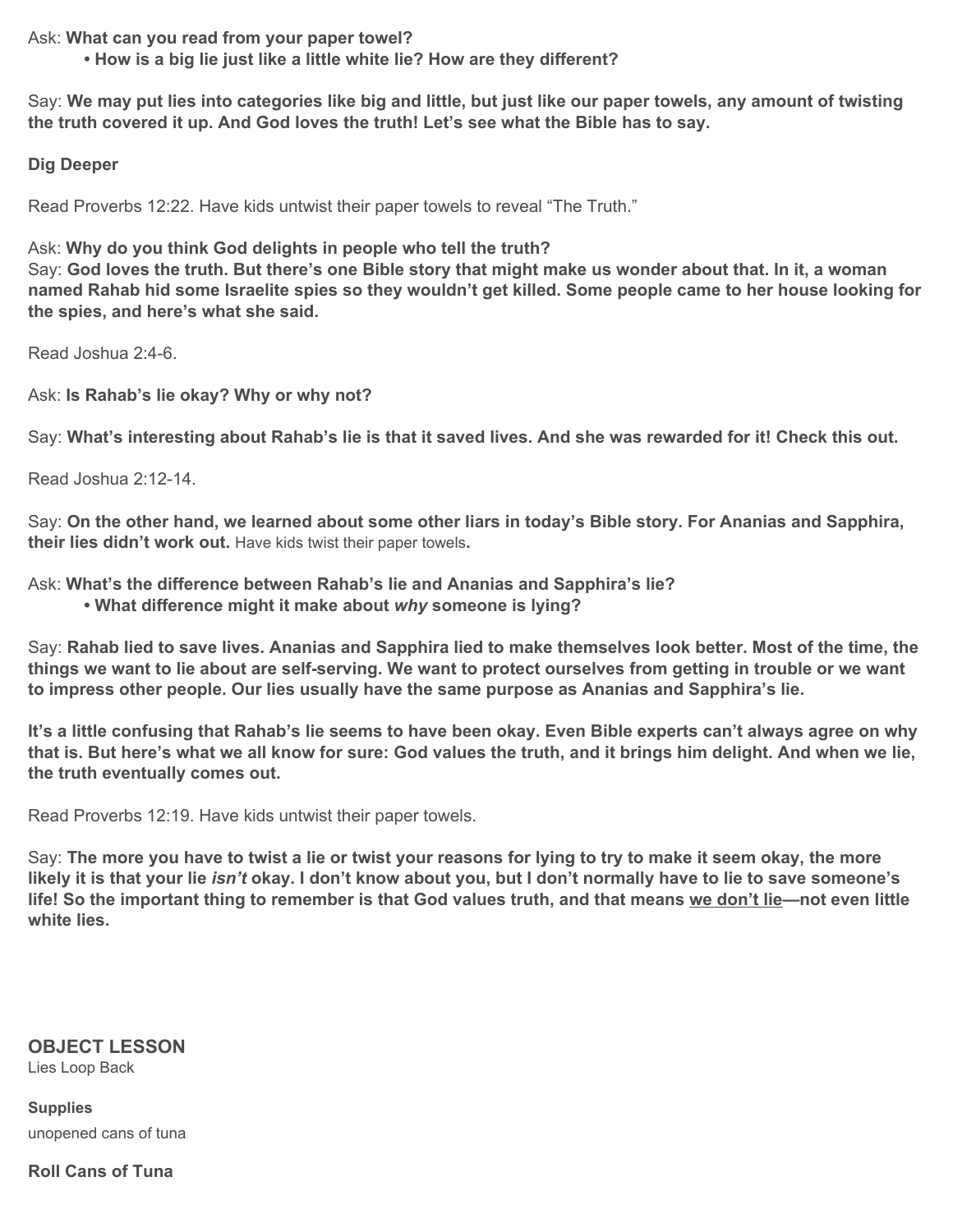Ask: **What can you read from your paper towel?**

**• How is a big lie just like a little white lie? How are they different?**

Say: We may put lies into categories like big and little, but just like our paper towels, any amount of twisting **the truth covered it up. And God loves the truth! Let's see what the Bible has to say.**

### **Dig Deeper**

Read Proverbs 12:22. Have kids untwist their paper towels to reveal "The Truth."

Ask: **Why do you think God delights in people who tell the truth?**

Say: God loves the truth. But there's one Bible story that might make us wonder about that. In it, a woman named Rahab hid some Israelite spies so they wouldn't get killed. Some people came to her house looking for **the spies, and here's what she said.**

Read Joshua 2:4-6.

Ask: **Is Rahab's lie okay? Why or why not?**

Say: What's interesting about Rahab's lie is that it saved lives. And she was rewarded for it! Check this out.

Read Joshua 2:12-14.

Say: On the other hand, we learned about some other liars in today's Bible story. For Ananias and Sapphira, **their lies didn't work out.** Have kids twist their paper towels**.**

Ask: **What's the difference between Rahab's lie and Ananias and Sapphira's lie?**

**• What difference might it make about** *why* **someone is lying?**

Say: Rahab lied to save lives. Ananias and Sapphira lied to make themselves look better. Most of the time, the things we want to lie about are self-serving. We want to protect ourselves from getting in trouble or we want **to impress other people. Our lies usually have the same purpose as Ananias and Sapphira's lie.**

It's a little confusing that Rahab's lie seems to have been okay. Even Bible experts can't always agree on why that is. But here's what we all know for sure: God values the truth, and it brings him delight. And when we lie, **the truth eventually comes out.**

Read Proverbs 12:19. Have kids untwist their paper towels.

Say: The more you have to twist a lie or twist your reasons for lying to try to make it seem okay, the more likely it is that your lie isn't okay. I don't know about you, but I don't normally have to lie to save someone's life! So the important thing to remember is that God values truth, and that means we don't lie—not even little **white lies.**

# **OBJECT LESSON**

Lies Loop Back

**Supplies** unopened cans of tuna

**Roll Cans of Tuna**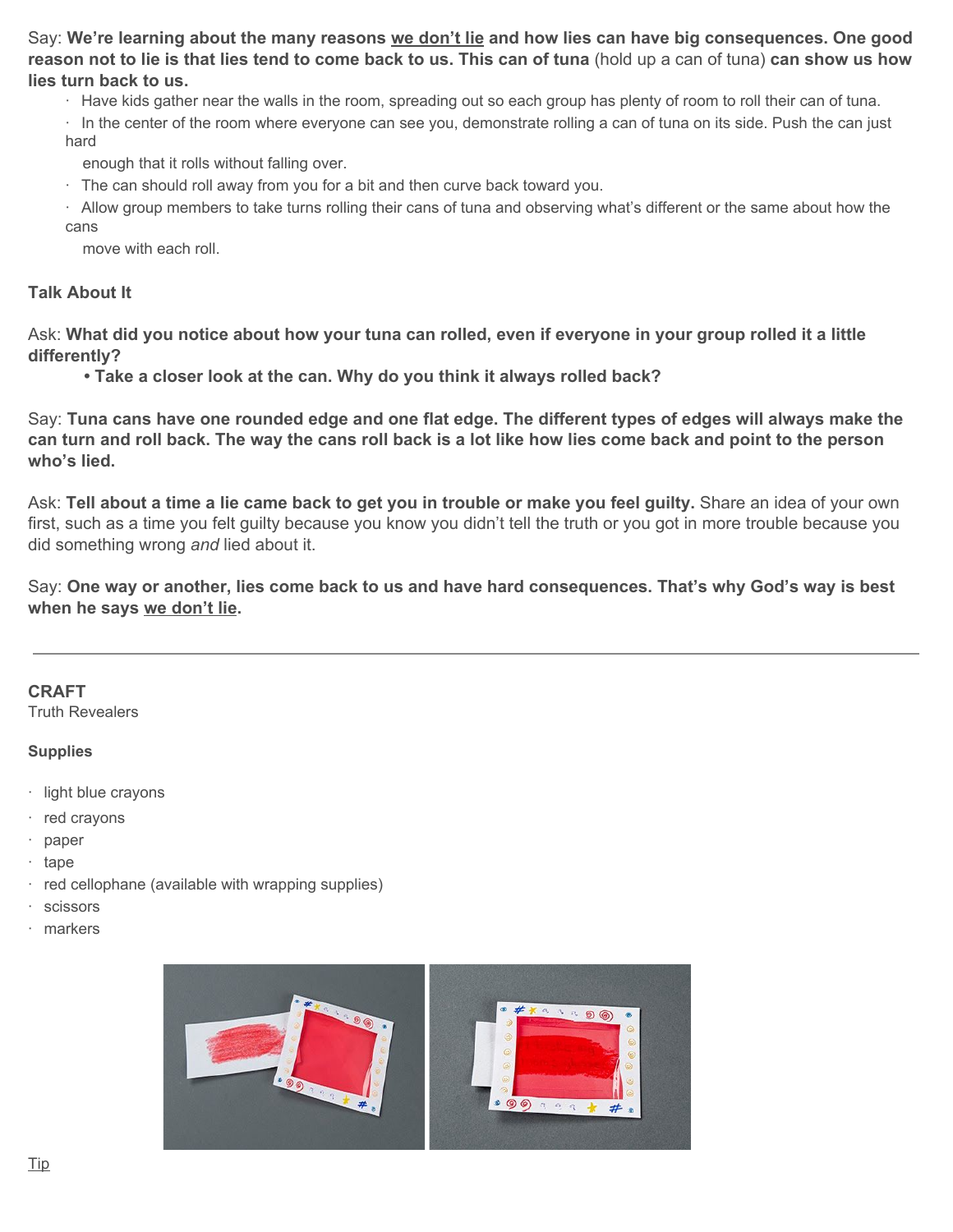Say: We're learning about the many reasons we don't lie and how lies can have big consequences. One good reason not to lie is that lies tend to come back to us. This can of tuna (hold up a can of tuna) can show us how **lies turn back to us.**

· Have kids gather near the walls in the room, spreading out so each group has plenty of room to roll their can of tuna.

· In the center of the room where everyone can see you, demonstrate rolling a can of tuna on its side. Push the can just hard

enough that it rolls without falling over.

· The can should roll away from you for a bit and then curve back toward you.

· Allow group members to take turns rolling their cans of tuna and observing what's different or the same about how the cans

move with each roll.

#### **Talk About It**

Ask: What did you notice about how your tuna can rolled, even if everyone in your group rolled it a little **differently?**

**• Take a closer look at the can. Why do you think it always rolled back?**

Say: Tuna cans have one rounded edge and one flat edge. The different types of edges will always make the can turn and roll back. The way the cans roll back is a lot like how lies come back and point to the person **who's lied.**

Ask: Tell about a time a lie came back to get you in trouble or make you feel guilty. Share an idea of your own first, such as a time you felt guilty because you know you didn't tell the truth or you got in more trouble because you did something wrong *and* lied about it.

Say: One way or another, lies come back to us and have hard consequences. That's why God's way is best **when he says we don't lie.**

#### **CRAFT**

Truth Revealers

#### **Supplies**

- · light blue crayons
- · red crayons
- · paper
- · tape
- · red cellophane (available with wrapping supplies)
- · scissors
- · markers

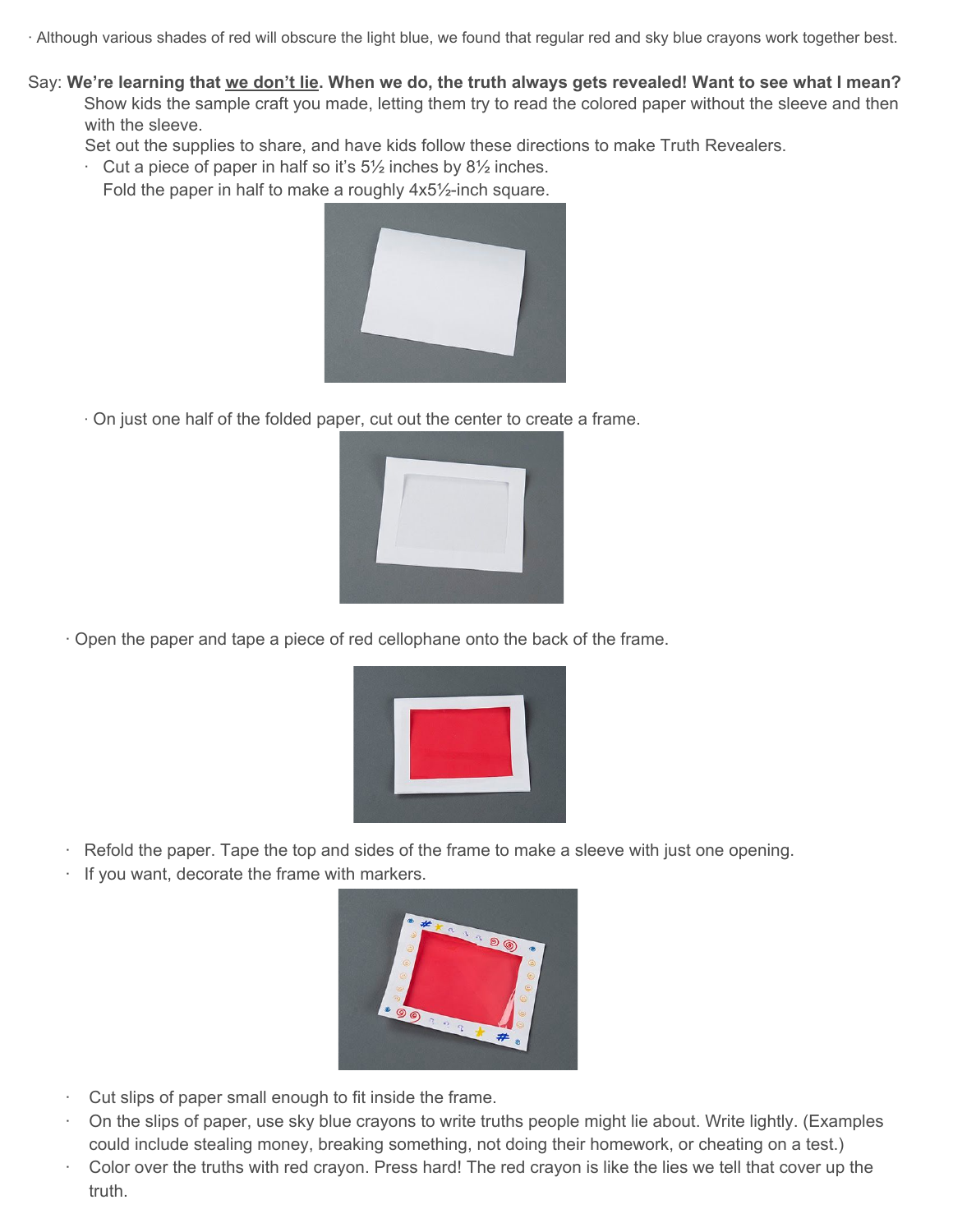· Although various shades of red will obscure the light blue, we found that regular red and sky blue crayons work together best.

Say: We're learning that we don't lie. When we do, the truth always gets revealed! Want to see what I mean? Show kids the sample craft you made, letting them try to read the colored paper without the sleeve and then with the sleeve.

Set out the supplies to share, and have kids follow these directions to make Truth Revealers.

Cut a piece of paper in half so it's  $5\frac{1}{2}$  inches by  $8\frac{1}{2}$  inches.

Fold the paper in half to make a roughly 4x5½-inch square.



· On just one half of the folded paper, cut out the center to create a frame.



· Open the paper and tape a piece of red cellophane onto the back of the frame.



- Refold the paper. Tape the top and sides of the frame to make a sleeve with just one opening.
- If you want, decorate the frame with markers.



- Cut slips of paper small enough to fit inside the frame.
- · On the slips of paper, use sky blue crayons to write truths people might lie about. Write lightly. (Examples could include stealing money, breaking something, not doing their homework, or cheating on a test.)
- · Color over the truths with red crayon. Press hard! The red crayon is like the lies we tell that cover up the truth.